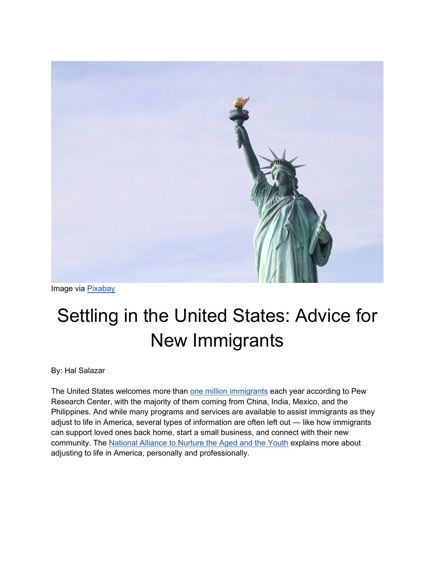

Image via [Pixabay](https://pixabay.com/photos/statue-of-liberty-statue-freedom-2577933/)

# Settling in the United States: Advice for New Immigrants

By: Hal Salazar

The United States welcomes more than [one million immigrants](https://www.pewresearch.org/fact-tank/2020/08/20/key-findings-about-u-s-immigrants/) each year according to Pew Research Center, with the majority of them coming from China, India, Mexico, and the Philippines. And while many programs and services are available to assist immigrants as they adjust to life in America, several types of information are often left out — like how immigrants can support loved ones back home, start a small business, and connect with their new community. The [National Alliance to Nurture the Aged and the Youth](https://www.nanay.com/) explains more about adjusting to life in America, personally and professionally.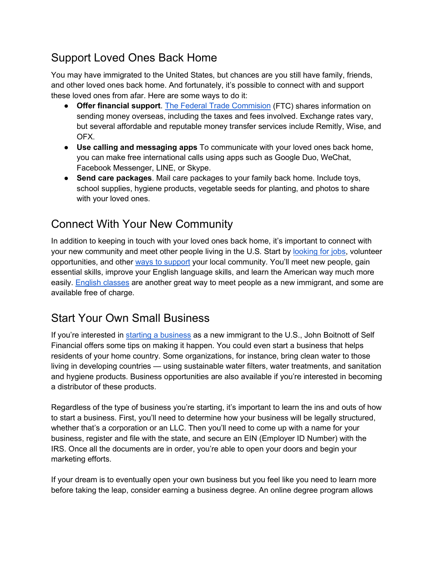## Support Loved Ones Back Home

You may have immigrated to the United States, but chances are you still have family, friends, and other loved ones back home. And fortunately, it's possible to connect with and support these loved ones from afar. Here are some ways to do it:

- **Offer financial support**. [The Federal Trade Commision](https://www.consumer.gov/articles/1008-sending-money-overseas) (FTC) shares information on sending money overseas, including the taxes and fees involved. Exchange rates vary, but several affordable and reputable money transfer services include Remitly, Wise, and OFX.
- **Use calling and messaging apps** To communicate with your loved ones back home, you can make free international calls using apps such as Google Duo, WeChat, Facebook Messenger, LINE, or Skype.
- **Send care packages**. Mail care packages to your family back home. Include toys, school supplies, hygiene products, vegetable seeds for planting, and photos to share with your loved ones.

## Connect With Your New Community

In addition to keeping in touch with your loved ones back home, it's important to connect with your new community and meet other people living in the U.S. Start by [looking for jobs,](https://www.boundless.com/blog/best-employment-apps-websites-immigrants/) volunteer opportunities, and other [ways to support](https://www.uscis.gov/citizenship-resource-center/civic-integration/support-your-community) your local community. You'll meet new people, gain essential skills, improve your English language skills, and learn the American way much more easily. [English classes](https://www.thoughtco.com/how-immigrants-can-find-english-classes-1951819) are another great way to meet people as a new immigrant, and some are available free of charge.

#### Start Your Own Small Business

If you're interested in [starting a business](https://www.self.inc/blog/starting-a-business-as-an-immigrant-to-the-u-s) as a new immigrant to the U.S., John Boitnott of Self Financial offers some tips on making it happen. You could even start a business that helps residents of your home country. Some organizations, for instance, bring clean water to those living in developing countries — using sustainable water filters, water treatments, and sanitation and hygiene products. Business opportunities are also available if you're interested in becoming a distributor of these products.

Regardless of the type of business you're starting, it's important to learn the ins and outs of how to start a business. First, you'll need to determine how your business will be legally structured, whether that's a corporation or an LLC. Then you'll need to come up with a name for your business, register and file with the state, and secure an EIN (Employer ID Number) with the IRS. Once all the documents are in order, you're able to open your doors and begin your marketing efforts.

If your dream is to eventually open your own business but you feel like you need to learn more before taking the leap, consider earning a business degree. An online degree program allows